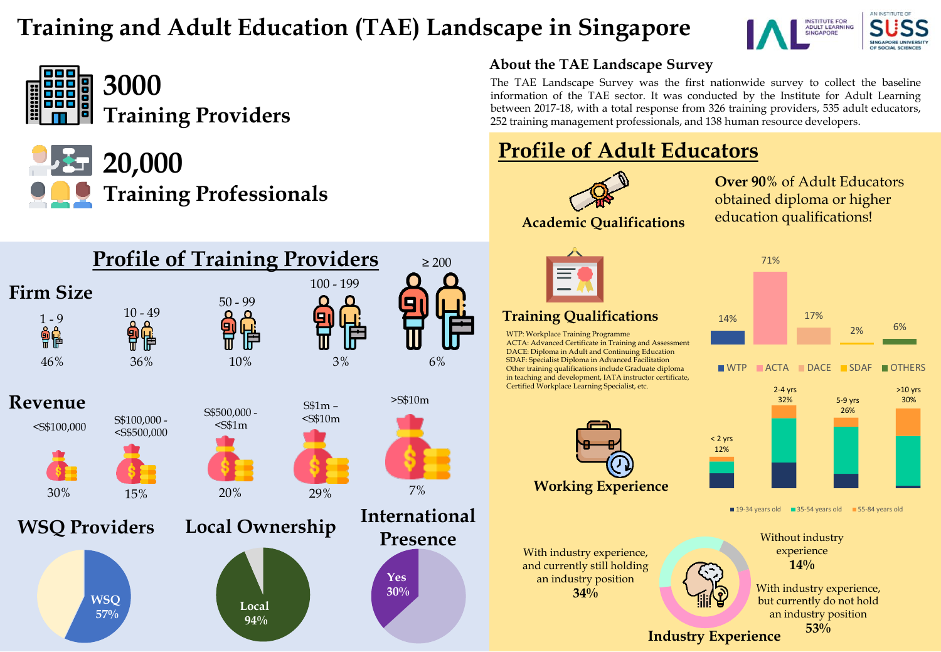# **Training and Adult Education (TAE) Landscape in Singapore**





**3000 Training Providers**



**20,000 Training Professionals**



#### **About the TAE Landscape Survey**

The TAE Landscape Survey was the first nationwide survey to collect the baseline information of the TAE sector. It was conducted by the Institute for Adult Learning between 2017-18, with a total response from 326 training providers, 535 adult educators, 252 training management professionals, and 138 human resource developers.

## **Profile of Adult Educators**



**Over 90**% of Adult Educators obtained diploma or higher education qualifications!



#### **Training Qualifications**

WTP: Workplace Training Programme ACTA: Advanced Certificate in Training and Assessment DACE: Diploma in Adult and Continuing Education SDAF: Specialist Diploma in Advanced Facilitation Other training qualifications include Graduate diploma in teaching and development, IATA instructor certificate, Certified Workplace Learning Specialist, etc.



With industry experience, and currently still holding an industry position **34%**



WTP ACTA DACE SDAF OTHERS



■ 19-34 years old ■ 35-54 years old ■ 55-84 years old

Without industry experience **14%**

**Industry Experience** With industry experience, but currently do not hold an industry position **53%**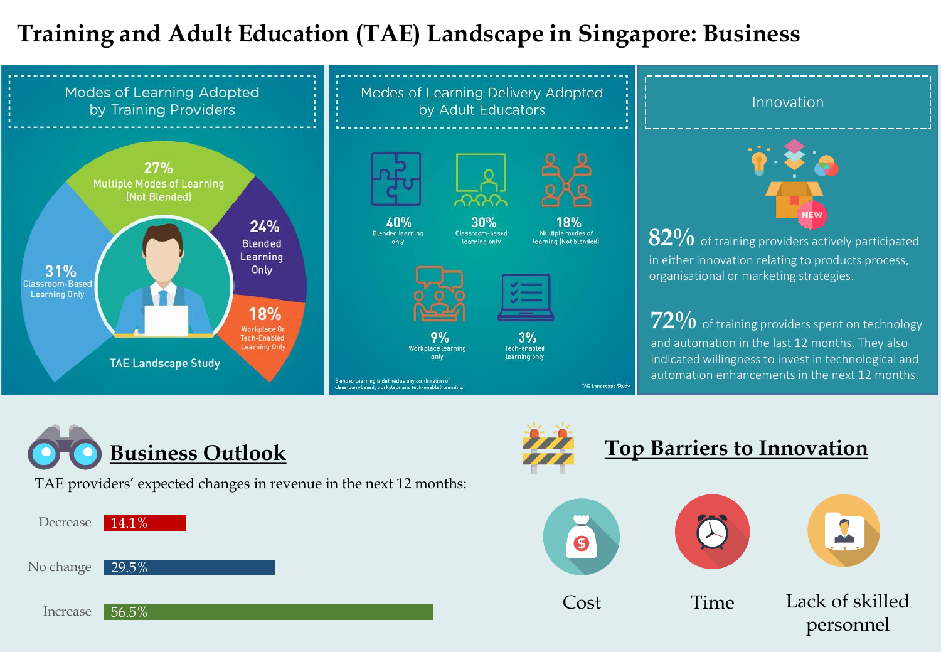# **Training and Adult Education (TAE) Landscape in Singapore: Business**





TAE providers' expected changes in revenue in the next 12 months:

| Decrease 14.1%  |  |
|-----------------|--|
| No change 29.5% |  |
| Increase 56.5%  |  |